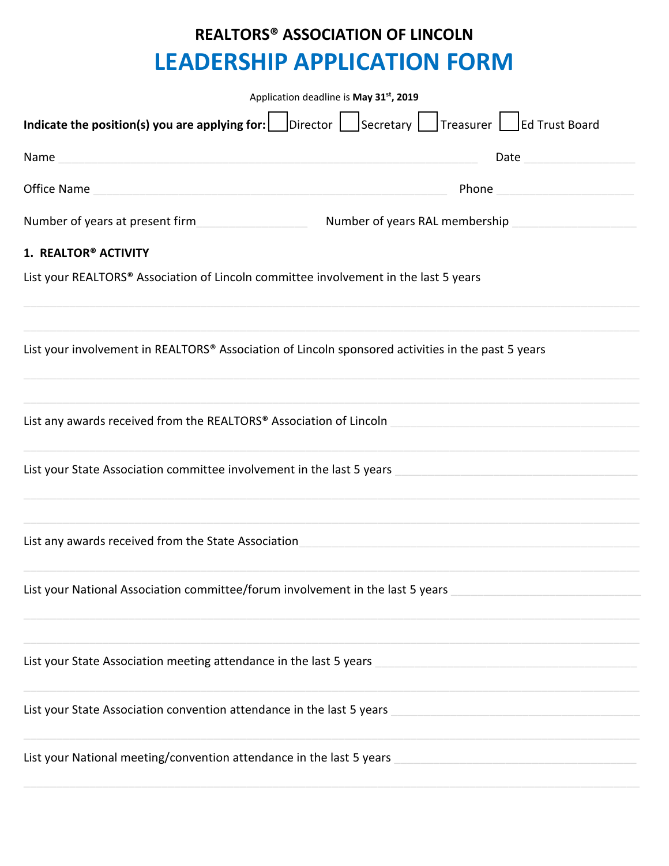## **REALTORS® ASSOCIATION OF LINCOLN LEADERSHIP APPLICATION FORM**

| Application deadline is May 31st, 2019                                                                                                                                                                                                                                                                                                                                                                                                                                                             |  |  |  |
|----------------------------------------------------------------------------------------------------------------------------------------------------------------------------------------------------------------------------------------------------------------------------------------------------------------------------------------------------------------------------------------------------------------------------------------------------------------------------------------------------|--|--|--|
| Indicate the position(s) you are applying for: $\Box$ Director $\Box$<br>$\sqrt{\frac{1}{1-\frac{1}{1-\frac{1}{1-\frac{1}{1-\frac{1}{1-\frac{1}{1-\frac{1}{1-\frac{1}{1-\frac{1}{1-\frac{1}{1-\frac{1}{1-\frac{1}{1-\frac{1}{1-\frac{1}{1-\frac{1}{1-\frac{1}{1-\frac{1}{1-\frac{1}{1-\frac{1}{1-\frac{1}{1-\frac{1}{1-\frac{1}{1-\frac{1}{1-\frac{1}{1-\frac{1}{1-\frac{1}{1-\frac{1}{1-\frac{1}{1-\frac{1}{1-\frac{1}{1-\frac{1}{1-\frac{1}{1-\frac{1}{1-\frac{1}{1-\frac{1}{1-\frac{1}{1-\frac$ |  |  |  |
| Name<br>Date                                                                                                                                                                                                                                                                                                                                                                                                                                                                                       |  |  |  |
| Office Name<br>Phone                                                                                                                                                                                                                                                                                                                                                                                                                                                                               |  |  |  |
| Number of years at present firm<br>Number of years RAL membership                                                                                                                                                                                                                                                                                                                                                                                                                                  |  |  |  |
| 1. REALTOR® ACTIVITY                                                                                                                                                                                                                                                                                                                                                                                                                                                                               |  |  |  |
| List your REALTORS® Association of Lincoln committee involvement in the last 5 years                                                                                                                                                                                                                                                                                                                                                                                                               |  |  |  |
| List your involvement in REALTORS® Association of Lincoln sponsored activities in the past 5 years                                                                                                                                                                                                                                                                                                                                                                                                 |  |  |  |
| List any awards received from the REALTORS® Association of Lincoln                                                                                                                                                                                                                                                                                                                                                                                                                                 |  |  |  |
| List your State Association committee involvement in the last 5 years                                                                                                                                                                                                                                                                                                                                                                                                                              |  |  |  |
| List any awards received from the State Association                                                                                                                                                                                                                                                                                                                                                                                                                                                |  |  |  |
| List your National Association committee/forum involvement in the last 5 years                                                                                                                                                                                                                                                                                                                                                                                                                     |  |  |  |
| List your State Association meeting attendance in the last 5 years                                                                                                                                                                                                                                                                                                                                                                                                                                 |  |  |  |
| List your State Association convention attendance in the last 5 years                                                                                                                                                                                                                                                                                                                                                                                                                              |  |  |  |
| List your National meeting/convention attendance in the last 5 years                                                                                                                                                                                                                                                                                                                                                                                                                               |  |  |  |